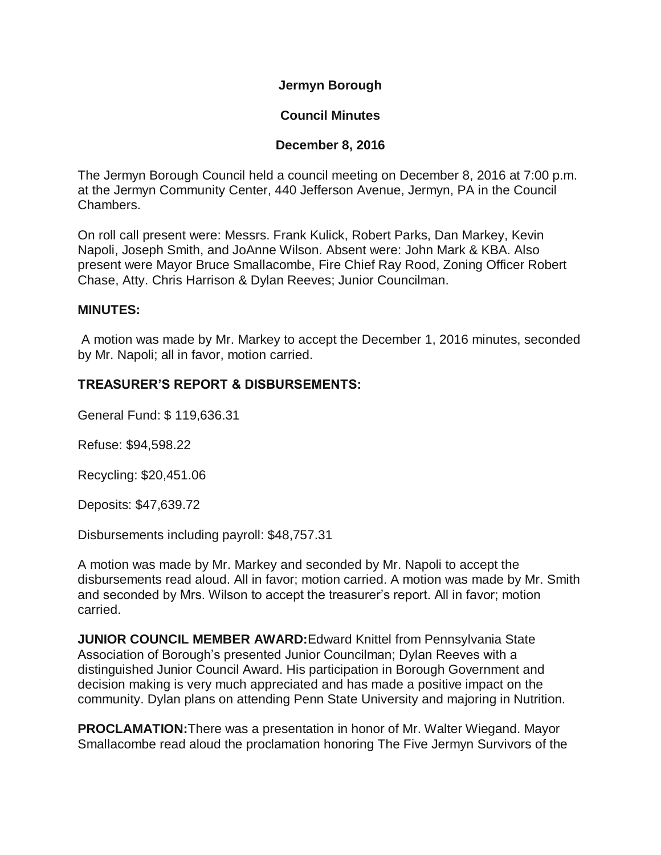**Jermyn Borough**

## **Council Minutes**

#### **December 8, 2016**

The Jermyn Borough Council held a council meeting on December 8, 2016 at 7:00 p.m. at the Jermyn Community Center, 440 Jefferson Avenue, Jermyn, PA in the Council Chambers.

On roll call present were: Messrs. Frank Kulick, Robert Parks, Dan Markey, Kevin Napoli, Joseph Smith, and JoAnne Wilson. Absent were: John Mark & KBA. Also present were Mayor Bruce Smallacombe, Fire Chief Ray Rood, Zoning Officer Robert Chase, Atty. Chris Harrison & Dylan Reeves; Junior Councilman.

#### **MINUTES:**

A motion was made by Mr. Markey to accept the December 1, 2016 minutes, seconded by Mr. Napoli; all in favor, motion carried.

## **TREASURER'S REPORT & DISBURSEMENTS:**

General Fund: \$ 119,636.31

Refuse: \$94,598.22

Recycling: \$20,451.06

Deposits: \$47,639.72

Disbursements including payroll: \$48,757.31

A motion was made by Mr. Markey and seconded by Mr. Napoli to accept the disbursements read aloud. All in favor; motion carried. A motion was made by Mr. Smith and seconded by Mrs. Wilson to accept the treasurer's report. All in favor; motion carried.

**JUNIOR COUNCIL MEMBER AWARD:**Edward Knittel from Pennsylvania State Association of Borough's presented Junior Councilman; Dylan Reeves with a distinguished Junior Council Award. His participation in Borough Government and decision making is very much appreciated and has made a positive impact on the community. Dylan plans on attending Penn State University and majoring in Nutrition.

**PROCLAMATION:**There was a presentation in honor of Mr. Walter Wiegand. Mayor Smallacombe read aloud the proclamation honoring The Five Jermyn Survivors of the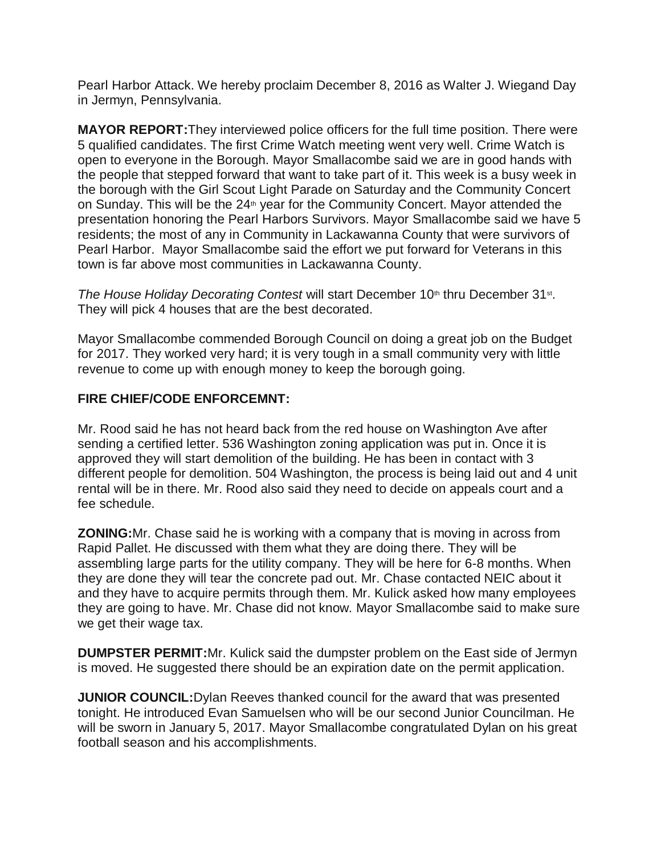Pearl Harbor Attack. We hereby proclaim December 8, 2016 as Walter J. Wiegand Day in Jermyn, Pennsylvania.

**MAYOR REPORT:**They interviewed police officers for the full time position. There were 5 qualified candidates. The first Crime Watch meeting went very well. Crime Watch is open to everyone in the Borough. Mayor Smallacombe said we are in good hands with the people that stepped forward that want to take part of it. This week is a busy week in the borough with the Girl Scout Light Parade on Saturday and the Community Concert on Sunday. This will be the  $24<sup>th</sup>$  year for the Community Concert. Mayor attended the presentation honoring the Pearl Harbors Survivors. Mayor Smallacombe said we have 5 residents; the most of any in Community in Lackawanna County that were survivors of Pearl Harbor. Mayor Smallacombe said the effort we put forward for Veterans in this town is far above most communities in Lackawanna County.

The House Holiday Decorating Contest will start December 10<sup>th</sup> thru December 31<sup>st</sup>. They will pick 4 houses that are the best decorated.

Mayor Smallacombe commended Borough Council on doing a great job on the Budget for 2017. They worked very hard; it is very tough in a small community very with little revenue to come up with enough money to keep the borough going.

## **FIRE CHIEF/CODE ENFORCEMNT:**

Mr. Rood said he has not heard back from the red house on Washington Ave after sending a certified letter. 536 Washington zoning application was put in. Once it is approved they will start demolition of the building. He has been in contact with 3 different people for demolition. 504 Washington, the process is being laid out and 4 unit rental will be in there. Mr. Rood also said they need to decide on appeals court and a fee schedule.

**ZONING:**Mr. Chase said he is working with a company that is moving in across from Rapid Pallet. He discussed with them what they are doing there. They will be assembling large parts for the utility company. They will be here for 6-8 months. When they are done they will tear the concrete pad out. Mr. Chase contacted NEIC about it and they have to acquire permits through them. Mr. Kulick asked how many employees they are going to have. Mr. Chase did not know. Mayor Smallacombe said to make sure we get their wage tax.

**DUMPSTER PERMIT:**Mr. Kulick said the dumpster problem on the East side of Jermyn is moved. He suggested there should be an expiration date on the permit application.

**JUNIOR COUNCIL:**Dylan Reeves thanked council for the award that was presented tonight. He introduced Evan Samuelsen who will be our second Junior Councilman. He will be sworn in January 5, 2017. Mayor Smallacombe congratulated Dylan on his great football season and his accomplishments.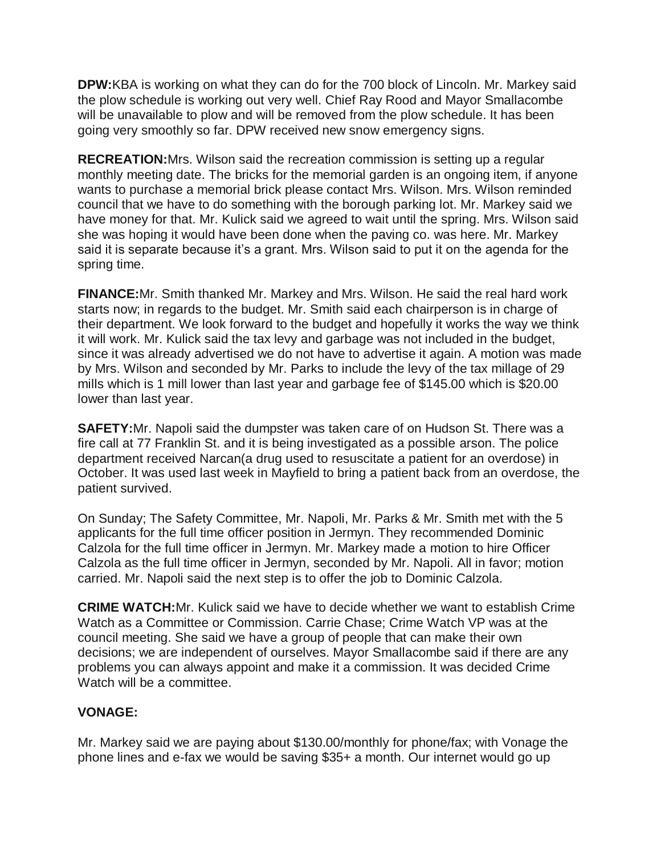**DPW:**KBA is working on what they can do for the 700 block of Lincoln. Mr. Markey said the plow schedule is working out very well. Chief Ray Rood and Mayor Smallacombe will be unavailable to plow and will be removed from the plow schedule. It has been going very smoothly so far. DPW received new snow emergency signs.

**RECREATION:**Mrs. Wilson said the recreation commission is setting up a regular monthly meeting date. The bricks for the memorial garden is an ongoing item, if anyone wants to purchase a memorial brick please contact Mrs. Wilson. Mrs. Wilson reminded council that we have to do something with the borough parking lot. Mr. Markey said we have money for that. Mr. Kulick said we agreed to wait until the spring. Mrs. Wilson said she was hoping it would have been done when the paving co. was here. Mr. Markey said it is separate because it's a grant. Mrs. Wilson said to put it on the agenda for the spring time.

**FINANCE:**Mr. Smith thanked Mr. Markey and Mrs. Wilson. He said the real hard work starts now; in regards to the budget. Mr. Smith said each chairperson is in charge of their department. We look forward to the budget and hopefully it works the way we think it will work. Mr. Kulick said the tax levy and garbage was not included in the budget, since it was already advertised we do not have to advertise it again. A motion was made by Mrs. Wilson and seconded by Mr. Parks to include the levy of the tax millage of 29 mills which is 1 mill lower than last year and garbage fee of \$145.00 which is \$20.00 lower than last year.

**SAFETY:**Mr. Napoli said the dumpster was taken care of on Hudson St. There was a fire call at 77 Franklin St. and it is being investigated as a possible arson. The police department received Narcan(a drug used to resuscitate a patient for an overdose) in October. It was used last week in Mayfield to bring a patient back from an overdose, the patient survived.

On Sunday; The Safety Committee, Mr. Napoli, Mr. Parks & Mr. Smith met with the 5 applicants for the full time officer position in Jermyn. They recommended Dominic Calzola for the full time officer in Jermyn. Mr. Markey made a motion to hire Officer Calzola as the full time officer in Jermyn, seconded by Mr. Napoli. All in favor; motion carried. Mr. Napoli said the next step is to offer the job to Dominic Calzola.

**CRIME WATCH:**Mr. Kulick said we have to decide whether we want to establish Crime Watch as a Committee or Commission. Carrie Chase; Crime Watch VP was at the council meeting. She said we have a group of people that can make their own decisions; we are independent of ourselves. Mayor Smallacombe said if there are any problems you can always appoint and make it a commission. It was decided Crime Watch will be a committee.

# **VONAGE:**

Mr. Markey said we are paying about \$130.00/monthly for phone/fax; with Vonage the phone lines and e-fax we would be saving \$35+ a month. Our internet would go up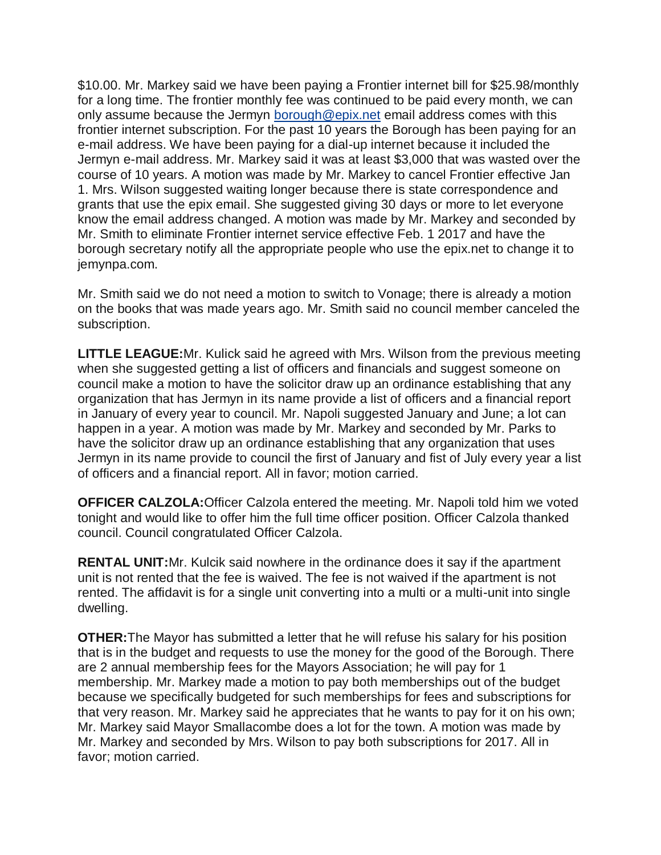\$10.00. Mr. Markey said we have been paying a Frontier internet bill for \$25.98/monthly for a long time. The frontier monthly fee was continued to be paid every month, we can only assume because the Jermyn [borough@epix.net](mailto:borough@epix.net) email address comes with this frontier internet subscription. For the past 10 years the Borough has been paying for an e-mail address. We have been paying for a dial-up internet because it included the Jermyn e-mail address. Mr. Markey said it was at least \$3,000 that was wasted over the course of 10 years. A motion was made by Mr. Markey to cancel Frontier effective Jan 1. Mrs. Wilson suggested waiting longer because there is state correspondence and grants that use the epix email. She suggested giving 30 days or more to let everyone know the email address changed. A motion was made by Mr. Markey and seconded by Mr. Smith to eliminate Frontier internet service effective Feb. 1 2017 and have the borough secretary notify all the appropriate people who use the epix.net to change it to jemynpa.com.

Mr. Smith said we do not need a motion to switch to Vonage; there is already a motion on the books that was made years ago. Mr. Smith said no council member canceled the subscription.

**LITTLE LEAGUE:**Mr. Kulick said he agreed with Mrs. Wilson from the previous meeting when she suggested getting a list of officers and financials and suggest someone on council make a motion to have the solicitor draw up an ordinance establishing that any organization that has Jermyn in its name provide a list of officers and a financial report in January of every year to council. Mr. Napoli suggested January and June; a lot can happen in a year. A motion was made by Mr. Markey and seconded by Mr. Parks to have the solicitor draw up an ordinance establishing that any organization that uses Jermyn in its name provide to council the first of January and fist of July every year a list of officers and a financial report. All in favor; motion carried.

**OFFICER CALZOLA:**Officer Calzola entered the meeting. Mr. Napoli told him we voted tonight and would like to offer him the full time officer position. Officer Calzola thanked council. Council congratulated Officer Calzola.

**RENTAL UNIT:**Mr. Kulcik said nowhere in the ordinance does it say if the apartment unit is not rented that the fee is waived. The fee is not waived if the apartment is not rented. The affidavit is for a single unit converting into a multi or a multi-unit into single dwelling.

**OTHER:**The Mayor has submitted a letter that he will refuse his salary for his position that is in the budget and requests to use the money for the good of the Borough. There are 2 annual membership fees for the Mayors Association; he will pay for 1 membership. Mr. Markey made a motion to pay both memberships out of the budget because we specifically budgeted for such memberships for fees and subscriptions for that very reason. Mr. Markey said he appreciates that he wants to pay for it on his own; Mr. Markey said Mayor Smallacombe does a lot for the town. A motion was made by Mr. Markey and seconded by Mrs. Wilson to pay both subscriptions for 2017. All in favor; motion carried.